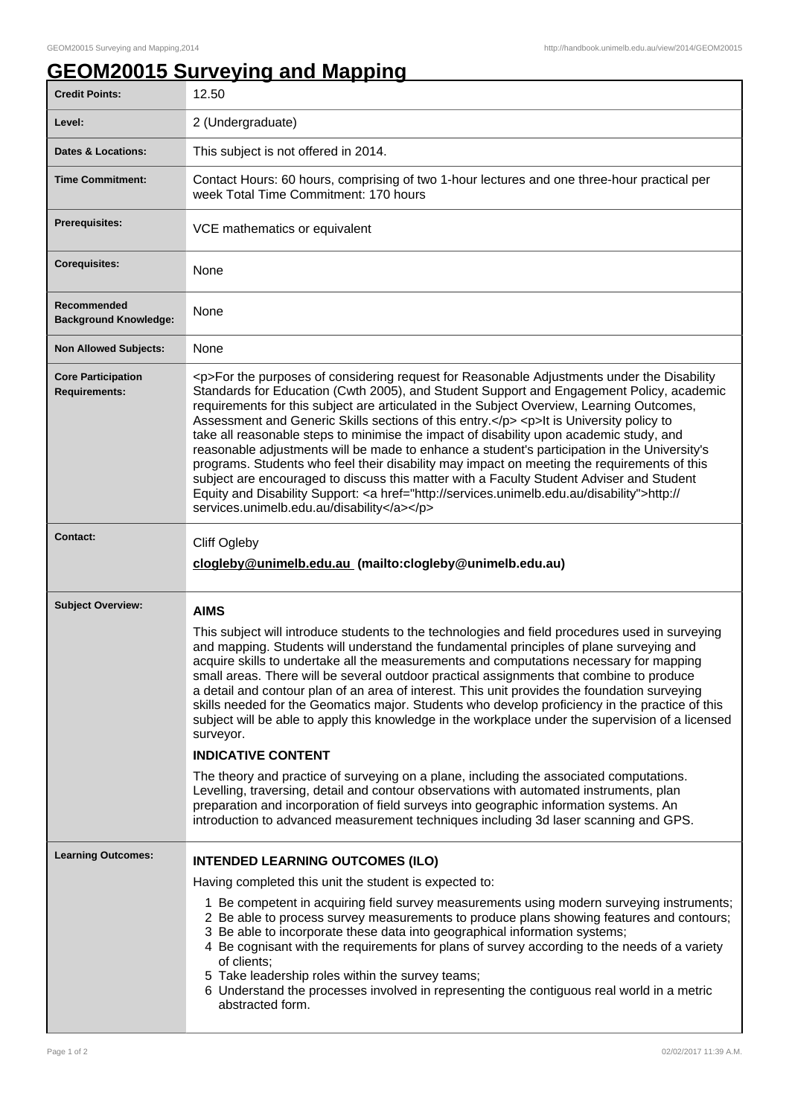## **GEOM20015 Surveying and Mapping**

| <b>Credit Points:</b>                             | 12.50                                                                                                                                                                                                                                                                                                                                                                                                                                                                                                                                                                                                                                                                                                                                                                                                                                                                                                                                                                                                                                                                                                                       |
|---------------------------------------------------|-----------------------------------------------------------------------------------------------------------------------------------------------------------------------------------------------------------------------------------------------------------------------------------------------------------------------------------------------------------------------------------------------------------------------------------------------------------------------------------------------------------------------------------------------------------------------------------------------------------------------------------------------------------------------------------------------------------------------------------------------------------------------------------------------------------------------------------------------------------------------------------------------------------------------------------------------------------------------------------------------------------------------------------------------------------------------------------------------------------------------------|
| Level:                                            | 2 (Undergraduate)                                                                                                                                                                                                                                                                                                                                                                                                                                                                                                                                                                                                                                                                                                                                                                                                                                                                                                                                                                                                                                                                                                           |
| <b>Dates &amp; Locations:</b>                     | This subject is not offered in 2014.                                                                                                                                                                                                                                                                                                                                                                                                                                                                                                                                                                                                                                                                                                                                                                                                                                                                                                                                                                                                                                                                                        |
| <b>Time Commitment:</b>                           | Contact Hours: 60 hours, comprising of two 1-hour lectures and one three-hour practical per<br>week Total Time Commitment: 170 hours                                                                                                                                                                                                                                                                                                                                                                                                                                                                                                                                                                                                                                                                                                                                                                                                                                                                                                                                                                                        |
| Prerequisites:                                    | VCE mathematics or equivalent                                                                                                                                                                                                                                                                                                                                                                                                                                                                                                                                                                                                                                                                                                                                                                                                                                                                                                                                                                                                                                                                                               |
| <b>Corequisites:</b>                              | None                                                                                                                                                                                                                                                                                                                                                                                                                                                                                                                                                                                                                                                                                                                                                                                                                                                                                                                                                                                                                                                                                                                        |
| Recommended<br><b>Background Knowledge:</b>       | None                                                                                                                                                                                                                                                                                                                                                                                                                                                                                                                                                                                                                                                                                                                                                                                                                                                                                                                                                                                                                                                                                                                        |
| <b>Non Allowed Subjects:</b>                      | None                                                                                                                                                                                                                                                                                                                                                                                                                                                                                                                                                                                                                                                                                                                                                                                                                                                                                                                                                                                                                                                                                                                        |
| <b>Core Participation</b><br><b>Requirements:</b> | <p>For the purposes of considering request for Reasonable Adjustments under the Disability<br/>Standards for Education (Cwth 2005), and Student Support and Engagement Policy, academic<br/>requirements for this subject are articulated in the Subject Overview, Learning Outcomes,<br/>Assessment and Generic Skills sections of this entry.</p> <p>lt is University policy to<br/>take all reasonable steps to minimise the impact of disability upon academic study, and<br/>reasonable adjustments will be made to enhance a student's participation in the University's<br/>programs. Students who feel their disability may impact on meeting the requirements of this<br/>subject are encouraged to discuss this matter with a Faculty Student Adviser and Student<br/>Equity and Disability Support: &lt; a href="http://services.unimelb.edu.au/disability"&gt;http://<br/>services.unimelb.edu.au/disability</p>                                                                                                                                                                                                |
| <b>Contact:</b>                                   | Cliff Ogleby<br>clogleby@unimelb.edu.au (mailto:clogleby@unimelb.edu.au)                                                                                                                                                                                                                                                                                                                                                                                                                                                                                                                                                                                                                                                                                                                                                                                                                                                                                                                                                                                                                                                    |
| <b>Subject Overview:</b>                          | <b>AIMS</b><br>This subject will introduce students to the technologies and field procedures used in surveying<br>and mapping. Students will understand the fundamental principles of plane surveying and<br>acquire skills to undertake all the measurements and computations necessary for mapping<br>small areas. There will be several outdoor practical assignments that combine to produce<br>a detail and contour plan of an area of interest. This unit provides the foundation surveying<br>skills needed for the Geomatics major. Students who develop proficiency in the practice of this<br>subject will be able to apply this knowledge in the workplace under the supervision of a licensed<br>surveyor.<br><b>INDICATIVE CONTENT</b><br>The theory and practice of surveying on a plane, including the associated computations.<br>Levelling, traversing, detail and contour observations with automated instruments, plan<br>preparation and incorporation of field surveys into geographic information systems. An<br>introduction to advanced measurement techniques including 3d laser scanning and GPS. |
| <b>Learning Outcomes:</b>                         | <b>INTENDED LEARNING OUTCOMES (ILO)</b><br>Having completed this unit the student is expected to:<br>1 Be competent in acquiring field survey measurements using modern surveying instruments;<br>2 Be able to process survey measurements to produce plans showing features and contours;<br>3 Be able to incorporate these data into geographical information systems;<br>4 Be cognisant with the requirements for plans of survey according to the needs of a variety<br>of clients;<br>5 Take leadership roles within the survey teams;<br>6 Understand the processes involved in representing the contiguous real world in a metric<br>abstracted form.                                                                                                                                                                                                                                                                                                                                                                                                                                                                |